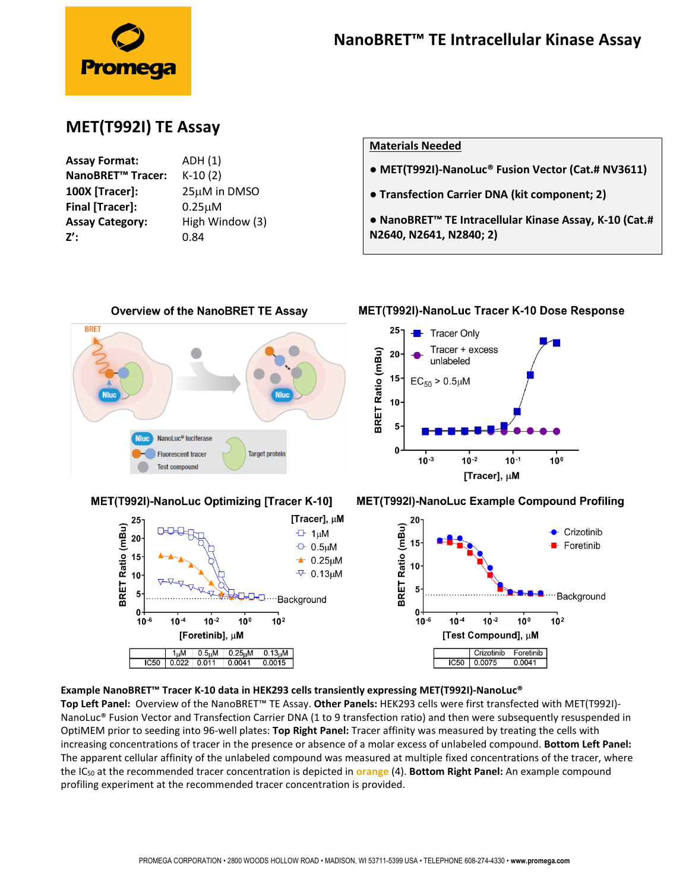

## **MET(T992I) TE Assay**

| <b>Assay Format:</b>          | ADH (1)         |
|-------------------------------|-----------------|
| NanoBRET <sup>™</sup> Tracer: | $K-10(2)$       |
| 100X [Tracer]:                | 25µM in DMSO    |
| <b>Final [Tracer]:</b>        | $0.25 \mu M$    |
| <b>Assay Category:</b>        | High Window (3) |
| z':                           | 0.84            |
|                               |                 |

## **Materials Needed**

- **MET(T992I)-NanoLuc® Fusion Vector (Cat.# NV3611)**
- **● Transfection Carrier DNA (kit component; 2)**
- **● NanoBRET™ TE Intracellular Kinase Assay, K-10 (Cat.# N2640, N2641, N2840; 2)**



## **Example NanoBRET™ Tracer K-10 data in HEK293 cells transiently expressing MET(T992I)-NanoLuc®**

**Top Left Panel:** Overview of the NanoBRET™ TE Assay. **Other Panels:** HEK293 cells were first transfected with MET(T992I)- NanoLuc® Fusion Vector and Transfection Carrier DNA (1 to 9 transfection ratio) and then were subsequently resuspended in OptiMEM prior to seeding into 96-well plates: **Top Right Panel:** Tracer affinity was measured by treating the cells with increasing concentrations of tracer in the presence or absence of a molar excess of unlabeled compound. **Bottom Left Panel:** The apparent cellular affinity of the unlabeled compound was measured at multiple fixed concentrations of the tracer, where the IC<sup>50</sup> at the recommended tracer concentration is depicted in **orange** (4). **Bottom Right Panel:** An example compound profiling experiment at the recommended tracer concentration is provided.